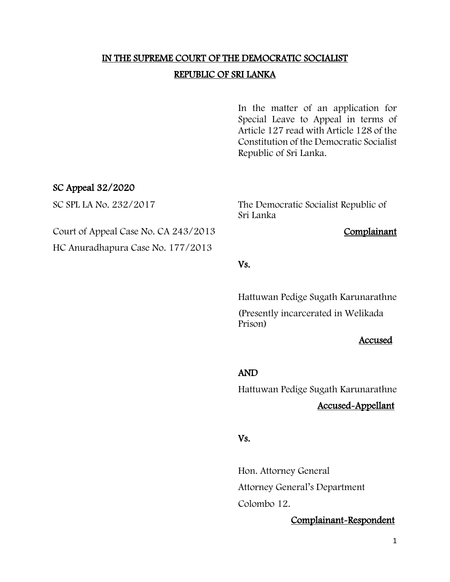# IN THE SUPREME COURT OF THE DEMOCRATIC SOCIALIST REPUBLIC OF SRI LANKA

In the matter of an application for Special Leave to Appeal in terms of Article 127 read with Article 128 of the Constitution of the Democratic Socialist Republic of Sri Lanka.

## SC Appeal 32/2020

SC SPL LA No. 232/2017 The Democratic Socialist Republic of Sri Lanka

Court of Appeal Case No. CA 243/2013 Complainant

HC Anuradhapura Case No. 177/2013

### Vs.

Hattuwan Pedige Sugath Karunarathne

(Presently incarcerated in Welikada Prison)

#### Accused

#### AND

Hattuwan Pedige Sugath Karunarathne

## Accused-Appellant

### Vs.

Hon. Attorney General Attorney General's Department Colombo 12.

#### Complainant-Respondent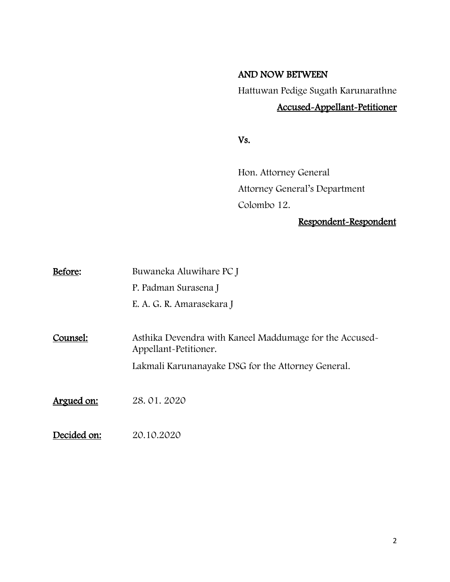## AND NOW BETWEEN

Hattuwan Pedige Sugath Karunarathne

# Accused-Appellant-Petitioner

Vs.

Hon. Attorney General Attorney General's Department Colombo 12.

# Respondent-Respondent

| Before:     | Buwaneka Aluwihare PC J                                                         |
|-------------|---------------------------------------------------------------------------------|
|             | P. Padman Surasena J                                                            |
|             | E. A. G. R. Amarasekara J                                                       |
|             |                                                                                 |
| Counsel:    | Asthika Devendra with Kaneel Maddumage for the Accused<br>Appellant-Petitioner. |
|             | Lakmali Karunanayake DSG for the Attorney General.                              |
|             |                                                                                 |
| Argued on:  | 28.01.2020                                                                      |
| Decided on: | 20.10.2020                                                                      |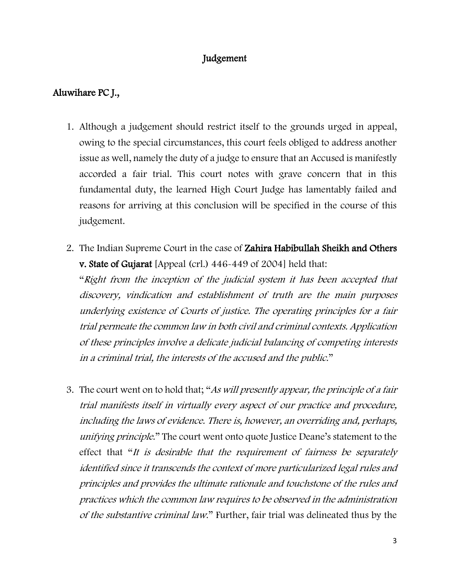## Judgement

## Aluwihare PC J.,

- 1. Although a judgement should restrict itself to the grounds urged in appeal, owing to the special circumstances, this court feels obliged to address another issue as well, namely the duty of a judge to ensure that an Accused is manifestly accorded a fair trial. This court notes with grave concern that in this fundamental duty, the learned High Court Judge has lamentably failed and reasons for arriving at this conclusion will be specified in the course of this judgement.
- 2. The Indian Supreme Court in the case of Zahira Habibullah Sheikh and Others v. State of Gujarat [Appeal (crl.) 446-449 of 2004] held that:

"Right from the inception of the judicial system it has been accepted that discovery, vindication and establishment of truth are the main purposes underlying existence of Courts of justice. The operating principles for a fair trial permeate the common law in both civil and criminal contexts. Application of these principles involve a delicate judicial balancing of competing interests in a criminal trial, the interests of the accused and the public."

3. The court went on to hold that; "As will presently appear, the principle of a fair trial manifests itself in virtually every aspect of our practice and procedure, including the laws of evidence. There is, however, an overriding and, perhaps, unifying principle." The court went onto quote Justice Deane's statement to the effect that "It is desirable that the requirement of fairness be separately identified since it transcends the context of more particularized legal rules and principles and provides the ultimate rationale and touchstone of the rules and practices which the common law requires to be observed in the administration of the substantive criminal law." Further, fair trial was delineated thus by the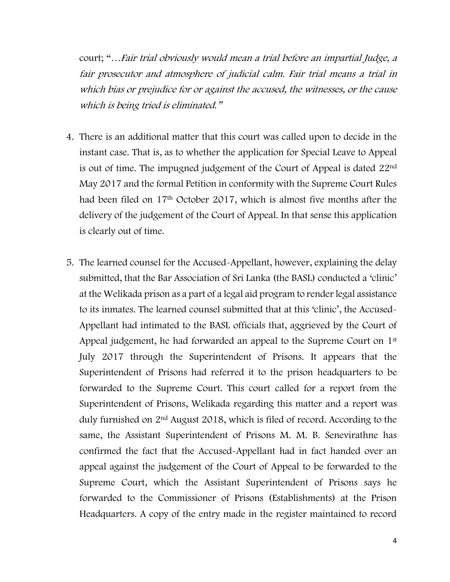court; "…Fair trial obviously would mean a trial before an impartial Judge, a fair prosecutor and atmosphere of judicial calm. Fair trial means a trial in which bias or prejudice for or against the accused, the witnesses, or the cause which is being tried is eliminated."

- 4. There is an additional matter that this court was called upon to decide in the instant case. That is, as to whether the application for Special Leave to Appeal is out of time. The impugned judgement of the Court of Appeal is dated 22nd May 2017 and the formal Petition in conformity with the Supreme Court Rules had been filed on 17th October 2017, which is almost five months after the delivery of the judgement of the Court of Appeal. In that sense this application is clearly out of time.
- 5. The learned counsel for the Accused-Appellant, however, explaining the delay submitted, that the Bar Association of Sri Lanka (the BASL) conducted a 'clinic' at the Welikada prison as a part of a legal aid program to render legal assistance to its inmates. The learned counsel submitted that at this 'clinic', the Accused-Appellant had intimated to the BASL officials that, aggrieved by the Court of Appeal judgement, he had forwarded an appeal to the Supreme Court on 1<sup>st</sup> July 2017 through the Superintendent of Prisons. It appears that the Superintendent of Prisons had referred it to the prison headquarters to be forwarded to the Supreme Court. This court called for a report from the Superintendent of Prisons, Welikada regarding this matter and a report was duly furnished on 2nd August 2018, which is filed of record. According to the same, the Assistant Superintendent of Prisons M. M. B. Senevirathne has confirmed the fact that the Accused-Appellant had in fact handed over an appeal against the judgement of the Court of Appeal to be forwarded to the Supreme Court, which the Assistant Superintendent of Prisons says he forwarded to the Commissioner of Prisons (Establishments) at the Prison Headquarters. A copy of the entry made in the register maintained to record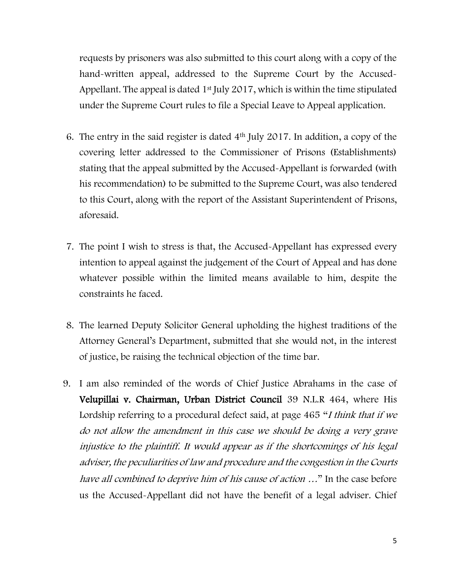requests by prisoners was also submitted to this court along with a copy of the hand-written appeal, addressed to the Supreme Court by the Accused-Appellant. The appeal is dated  $1<sup>st</sup>$  July 2017, which is within the time stipulated under the Supreme Court rules to file a Special Leave to Appeal application.

- 6. The entry in the said register is dated 4th July 2017. In addition, a copy of the covering letter addressed to the Commissioner of Prisons (Establishments) stating that the appeal submitted by the Accused-Appellant is forwarded (with his recommendation) to be submitted to the Supreme Court, was also tendered to this Court, along with the report of the Assistant Superintendent of Prisons, aforesaid.
- 7. The point I wish to stress is that, the Accused-Appellant has expressed every intention to appeal against the judgement of the Court of Appeal and has done whatever possible within the limited means available to him, despite the constraints he faced.
- 8. The learned Deputy Solicitor General upholding the highest traditions of the Attorney General's Department, submitted that she would not, in the interest of justice, be raising the technical objection of the time bar.
- 9. I am also reminded of the words of Chief Justice Abrahams in the case of Velupillai v. Chairman, Urban District Council 39 N.L.R 464, where His Lordship referring to a procedural defect said, at page 465 "*I think that if we* do not allow the amendment in this case we should be doing a very grave injustice to the plaintiff. It would appear as if the shortcomings of his legal adviser, the peculiarities of law and procedure and the congestion in the Courts have all combined to deprive him of his cause of action ..." In the case before us the Accused-Appellant did not have the benefit of a legal adviser. Chief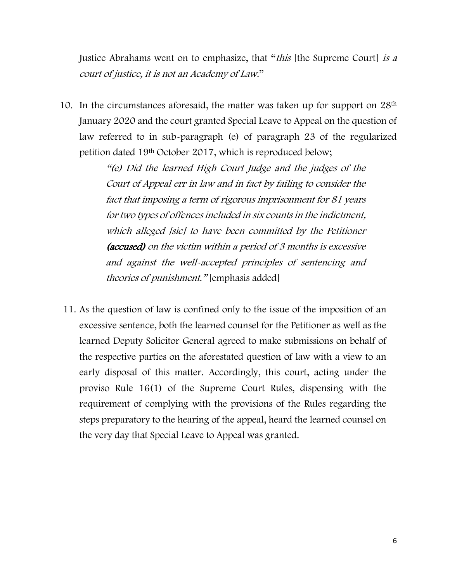Justice Abrahams went on to emphasize, that "this [the Supreme Court] is a court of justice, it is not an Academy of Law."

10. In the circumstances aforesaid, the matter was taken up for support on 28<sup>th</sup> January 2020 and the court granted Special Leave to Appeal on the question of law referred to in sub-paragraph (e) of paragraph 23 of the regularized petition dated 19th October 2017, which is reproduced below;

> "(e) Did the learned High Court Judge and the judges of the Court of Appeal err in law and in fact by failing to consider the fact that imposing a term of rigorous imprisonment for 81 years for two types of offences included in six counts in the indictment, which alleged [sic] to have been committed by the Petitioner (accused) on the victim within a period of 3 months is excessive and against the well-accepted principles of sentencing and theories of punishment." [emphasis added]

11. As the question of law is confined only to the issue of the imposition of an excessive sentence, both the learned counsel for the Petitioner as well as the learned Deputy Solicitor General agreed to make submissions on behalf of the respective parties on the aforestated question of law with a view to an early disposal of this matter. Accordingly, this court, acting under the proviso Rule 16(1) of the Supreme Court Rules, dispensing with the requirement of complying with the provisions of the Rules regarding the steps preparatory to the hearing of the appeal, heard the learned counsel on the very day that Special Leave to Appeal was granted.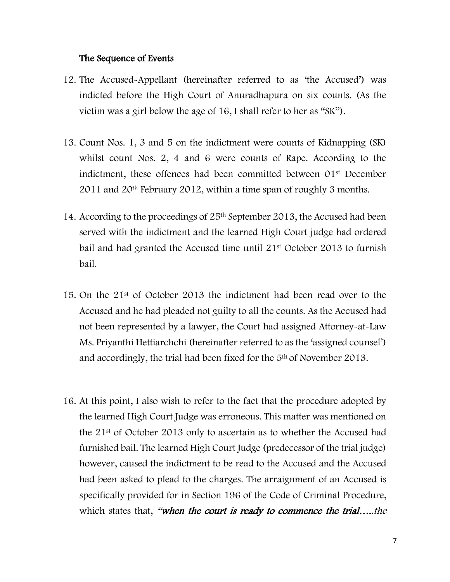#### The Sequence of Events

- 12. The Accused-Appellant (hereinafter referred to as 'the Accused') was indicted before the High Court of Anuradhapura on six counts. (As the victim was a girl below the age of 16, I shall refer to her as "SK").
- 13. Count Nos. 1, 3 and 5 on the indictment were counts of Kidnapping (SK) whilst count Nos. 2, 4 and 6 were counts of Rape. According to the indictment, these offences had been committed between 01st December 2011 and 20th February 2012, within a time span of roughly 3 months.
- 14. According to the proceedings of 25th September 2013, the Accused had been served with the indictment and the learned High Court judge had ordered bail and had granted the Accused time until 21st October 2013 to furnish bail.
- 15. On the 21st of October 2013 the indictment had been read over to the Accused and he had pleaded not guilty to all the counts. As the Accused had not been represented by a lawyer, the Court had assigned Attorney-at-Law Ms. Priyanthi Hettiarchchi (hereinafter referred to as the 'assigned counsel') and accordingly, the trial had been fixed for the 5th of November 2013.
- 16. At this point, I also wish to refer to the fact that the procedure adopted by the learned High Court Judge was erroneous. This matter was mentioned on the 21st of October 2013 only to ascertain as to whether the Accused had furnished bail. The learned High Court Judge (predecessor of the trial judge) however, caused the indictment to be read to the Accused and the Accused had been asked to plead to the charges. The arraignment of an Accused is specifically provided for in Section 196 of the Code of Criminal Procedure, which states that, "when the court is ready to commence the trial....the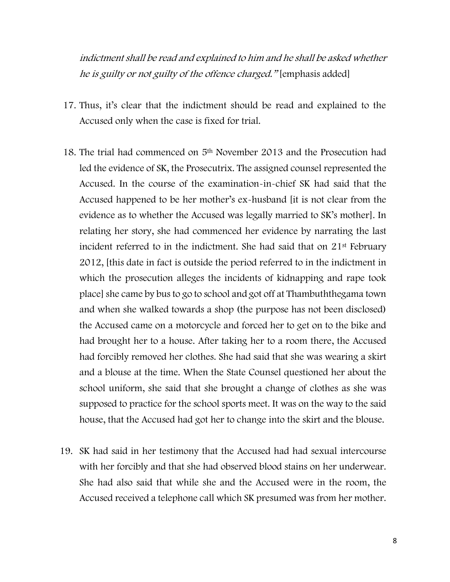indictment shall be read and explained to him and he shall be asked whether he is guilty or not guilty of the offence charged." [emphasis added]

- 17. Thus, it's clear that the indictment should be read and explained to the Accused only when the case is fixed for trial.
- 18. The trial had commenced on 5<sup>th</sup> November 2013 and the Prosecution had led the evidence of SK, the Prosecutrix. The assigned counsel represented the Accused. In the course of the examination-in-chief SK had said that the Accused happened to be her mother's ex-husband [it is not clear from the evidence as to whether the Accused was legally married to SK's mother]. In relating her story, she had commenced her evidence by narrating the last incident referred to in the indictment. She had said that on 21st February 2012, [this date in fact is outside the period referred to in the indictment in which the prosecution alleges the incidents of kidnapping and rape took place] she came by bus to go to school and got off at Thambuththegama town and when she walked towards a shop (the purpose has not been disclosed) the Accused came on a motorcycle and forced her to get on to the bike and had brought her to a house. After taking her to a room there, the Accused had forcibly removed her clothes. She had said that she was wearing a skirt and a blouse at the time. When the State Counsel questioned her about the school uniform, she said that she brought a change of clothes as she was supposed to practice for the school sports meet. It was on the way to the said house, that the Accused had got her to change into the skirt and the blouse.
- 19. SK had said in her testimony that the Accused had had sexual intercourse with her forcibly and that she had observed blood stains on her underwear. She had also said that while she and the Accused were in the room, the Accused received a telephone call which SK presumed was from her mother.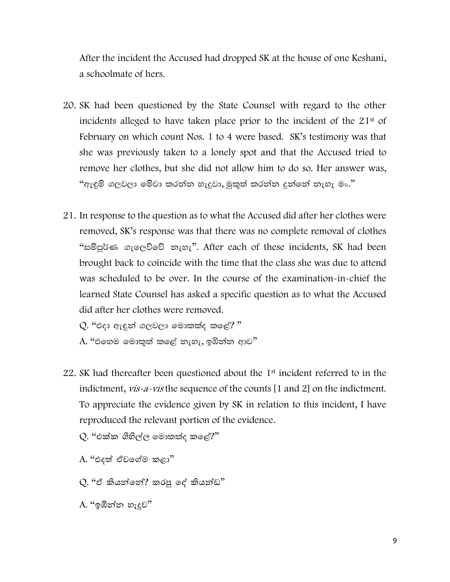After the incident the Accused had dropped SK at the house of one Keshani, a schoolmate of hers.

- 20. SK had been questioned by the State Counsel with regard to the other incidents alleged to have taken place prior to the incident of the 21st of February on which count Nos. 1 to 4 were based. SK's testimony was that she was previously taken to a lonely spot and that the Accused tried to remove her clothes, but she did not allow him to do so. Her answer was, "ඇඳුම් ගලවලා මේවා කරන්න හැදුවා, මුකුත් කරන්න දුන්නේ නැහැ මං."
- 21. In response to the question as to what the Accused did after her clothes were removed, SK's response was that there was no complete removal of clothes "සම්පූර්ණ ගැලෙව්වේ නැහැ". After each of these incidents, SK had been brought back to coincide with the time that the class she was due to attend was scheduled to be over. In the course of the examination-in-chief the learned State Counsel has asked a specific question as to what the Accused did after her clothes were removed.

 $Q$ . "එදා ඇඳුන් ගලවලා මොකක්ද කළේ? "  $\mathrm{A.}$  "එහෙම මොකුත් කළේ නැහැ, ඉඹින්න ආව $"$ 

22. SK had thereafter been questioned about the 1st incident referred to in the indictment, *vis-a-vis* the sequence of the counts [1 and 2] on the indictment. To appreciate the evidence given by SK in relation to this incident, I have reproduced the relevant portion of the evidence.

 $Q$ . "එක්ක ගිහිල්ල මොකක්ද කළේ?"

- A. "එදත් ඒවගේම කළා"
- Q. "ඒ කියන්ගන්? කරපු ගේ කියන්ඩ"
- $A$ . "ඉඹින්න හැදුව $"$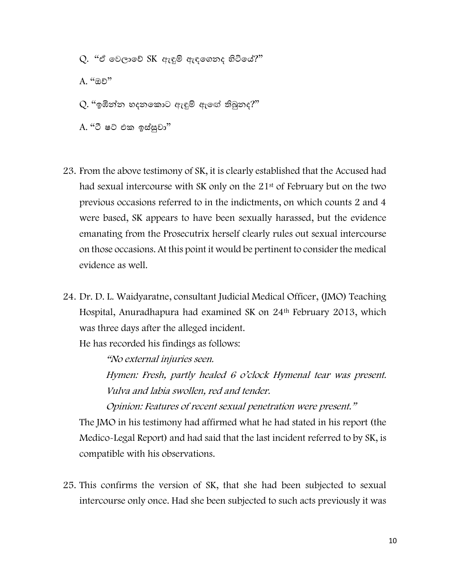$Q$ . "ඒ වෙලාවේ  $SK$  ඇඳුම් ඇඳගෙනද හිටියේ?" A. "ඔේ"  $Q$ . "ඉඹින්න හදනකොට ඇඳුම් ඇඟේ තිබුනද?" A. "ටී ෂට් එක ඉස්සුවා"

- 23. From the above testimony of SK, it is clearly established that the Accused had had sexual intercourse with SK only on the 21<sup>st</sup> of February but on the two previous occasions referred to in the indictments, on which counts 2 and 4 were based, SK appears to have been sexually harassed, but the evidence emanating from the Prosecutrix herself clearly rules out sexual intercourse on those occasions. At this point it would be pertinent to consider the medical evidence as well.
- 24. Dr. D. L. Waidyaratne, consultant Judicial Medical Officer, (JMO) Teaching Hospital, Anuradhapura had examined SK on 24th February 2013, which was three days after the alleged incident.

He has recorded his findings as follows:

"No external injuries seen.

Hymen: Fresh, partly healed 6 o'clock Hymenal tear was present. Vulva and labia swollen, red and tender.

Opinion: Features of recent sexual penetration were present."

The JMO in his testimony had affirmed what he had stated in his report (the Medico-Legal Report) and had said that the last incident referred to by SK, is compatible with his observations.

25. This confirms the version of SK, that she had been subjected to sexual intercourse only once. Had she been subjected to such acts previously it was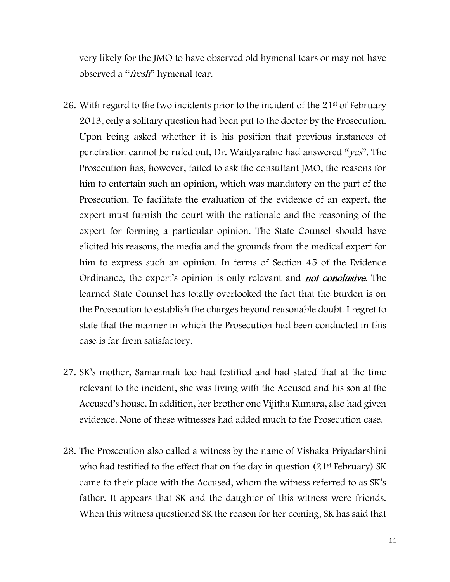very likely for the JMO to have observed old hymenal tears or may not have observed a "*fresh*" hymenal tear.

- 26. With regard to the two incidents prior to the incident of the 21st of February 2013, only a solitary question had been put to the doctor by the Prosecution. Upon being asked whether it is his position that previous instances of penetration cannot be ruled out, Dr. Waidyaratne had answered "yes". The Prosecution has, however, failed to ask the consultant JMO, the reasons for him to entertain such an opinion, which was mandatory on the part of the Prosecution. To facilitate the evaluation of the evidence of an expert, the expert must furnish the court with the rationale and the reasoning of the expert for forming a particular opinion. The State Counsel should have elicited his reasons, the media and the grounds from the medical expert for him to express such an opinion. In terms of Section 45 of the Evidence Ordinance, the expert's opinion is only relevant and **not conclusive**. The learned State Counsel has totally overlooked the fact that the burden is on the Prosecution to establish the charges beyond reasonable doubt. I regret to state that the manner in which the Prosecution had been conducted in this case is far from satisfactory.
- 27. SK's mother, Samanmali too had testified and had stated that at the time relevant to the incident, she was living with the Accused and his son at the Accused's house. In addition, her brother one Vijitha Kumara, also had given evidence. None of these witnesses had added much to the Prosecution case.
- 28. The Prosecution also called a witness by the name of Vishaka Priyadarshini who had testified to the effect that on the day in question  $(21<sup>st</sup>$  February) SK came to their place with the Accused, whom the witness referred to as SK's father. It appears that SK and the daughter of this witness were friends. When this witness questioned SK the reason for her coming, SK has said that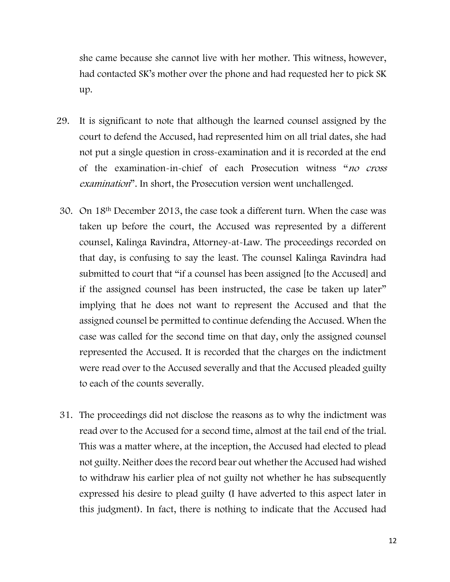she came because she cannot live with her mother. This witness, however, had contacted SK's mother over the phone and had requested her to pick SK up.

- 29. It is significant to note that although the learned counsel assigned by the court to defend the Accused, had represented him on all trial dates, she had not put a single question in cross-examination and it is recorded at the end of the examination-in-chief of each Prosecution witness "no cross examination". In short, the Prosecution version went unchallenged.
- 30. On 18th December 2013, the case took a different turn. When the case was taken up before the court, the Accused was represented by a different counsel, Kalinga Ravindra, Attorney-at-Law. The proceedings recorded on that day, is confusing to say the least. The counsel Kalinga Ravindra had submitted to court that "if a counsel has been assigned [to the Accused] and if the assigned counsel has been instructed, the case be taken up later" implying that he does not want to represent the Accused and that the assigned counsel be permitted to continue defending the Accused. When the case was called for the second time on that day, only the assigned counsel represented the Accused. It is recorded that the charges on the indictment were read over to the Accused severally and that the Accused pleaded guilty to each of the counts severally.
- 31. The proceedings did not disclose the reasons as to why the indictment was read over to the Accused for a second time, almost at the tail end of the trial. This was a matter where, at the inception, the Accused had elected to plead not guilty. Neither does the record bear out whether the Accused had wished to withdraw his earlier plea of not guilty not whether he has subsequently expressed his desire to plead guilty (I have adverted to this aspect later in this judgment). In fact, there is nothing to indicate that the Accused had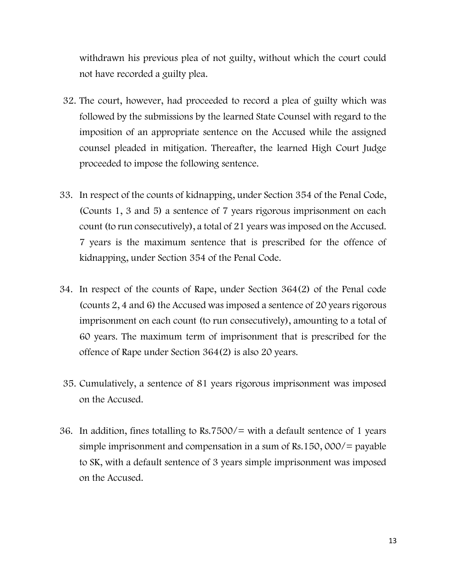withdrawn his previous plea of not guilty, without which the court could not have recorded a guilty plea.

- 32. The court, however, had proceeded to record a plea of guilty which was followed by the submissions by the learned State Counsel with regard to the imposition of an appropriate sentence on the Accused while the assigned counsel pleaded in mitigation. Thereafter, the learned High Court Judge proceeded to impose the following sentence.
- 33. In respect of the counts of kidnapping, under Section 354 of the Penal Code, (Counts 1, 3 and 5) a sentence of 7 years rigorous imprisonment on each count (to run consecutively), a total of 21 years was imposed on the Accused. 7 years is the maximum sentence that is prescribed for the offence of kidnapping, under Section 354 of the Penal Code.
- 34. In respect of the counts of Rape, under Section 364(2) of the Penal code (counts 2, 4 and 6) the Accused was imposed a sentence of 20 years rigorous imprisonment on each count (to run consecutively), amounting to a total of 60 years. The maximum term of imprisonment that is prescribed for the offence of Rape under Section 364(2) is also 20 years.
- 35. Cumulatively, a sentence of 81 years rigorous imprisonment was imposed on the Accused.
- 36. In addition, fines totalling to Rs.7500/= with a default sentence of 1 years simple imprisonment and compensation in a sum of Rs.150,  $000/=\text{payable}$ to SK, with a default sentence of 3 years simple imprisonment was imposed on the Accused.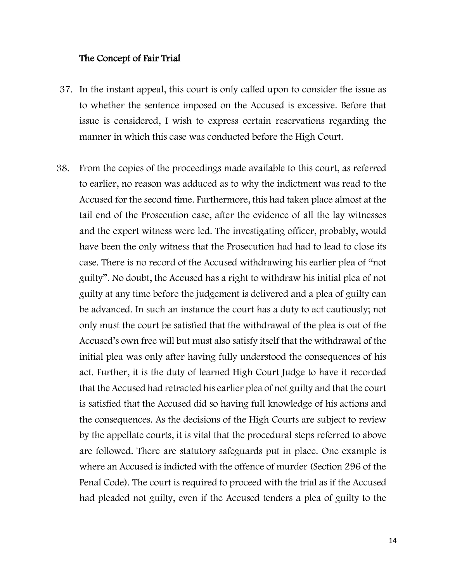#### The Concept of Fair Trial

- 37. In the instant appeal, this court is only called upon to consider the issue as to whether the sentence imposed on the Accused is excessive. Before that issue is considered, I wish to express certain reservations regarding the manner in which this case was conducted before the High Court.
- 38. From the copies of the proceedings made available to this court, as referred to earlier, no reason was adduced as to why the indictment was read to the Accused for the second time. Furthermore, this had taken place almost at the tail end of the Prosecution case, after the evidence of all the lay witnesses and the expert witness were led. The investigating officer, probably, would have been the only witness that the Prosecution had had to lead to close its case. There is no record of the Accused withdrawing his earlier plea of "not guilty". No doubt, the Accused has a right to withdraw his initial plea of not guilty at any time before the judgement is delivered and a plea of guilty can be advanced. In such an instance the court has a duty to act cautiously; not only must the court be satisfied that the withdrawal of the plea is out of the Accused's own free will but must also satisfy itself that the withdrawal of the initial plea was only after having fully understood the consequences of his act. Further, it is the duty of learned High Court Judge to have it recorded that the Accused had retracted his earlier plea of not guilty and that the court is satisfied that the Accused did so having full knowledge of his actions and the consequences. As the decisions of the High Courts are subject to review by the appellate courts, it is vital that the procedural steps referred to above are followed. There are statutory safeguards put in place. One example is where an Accused is indicted with the offence of murder (Section 296 of the Penal Code). The court is required to proceed with the trial as if the Accused had pleaded not guilty, even if the Accused tenders a plea of guilty to the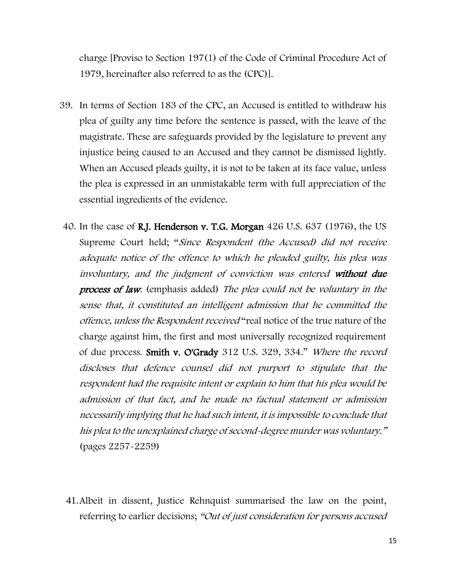charge [Proviso to Section 197(1) of the Code of Criminal Procedure Act of 1979, hereinafter also referred to as the (CPC)].

- 39. In terms of Section 183 of the CPC, an Accused is entitled to withdraw his plea of guilty any time before the sentence is passed, with the leave of the magistrate. These are safeguards provided by the legislature to prevent any injustice being caused to an Accused and they cannot be dismissed lightly. When an Accused pleads guilty, it is not to be taken at its face value, unless the plea is expressed in an unmistakable term with full appreciation of the essential ingredients of the evidence.
- 40. In the case of R.J. Henderson v. T.G. Morgan 426 U.S. 637 (1976), the US Supreme Court held; "Since Respondent (the Accused) did not receive adequate notice of the offence to which he pleaded guilty, his plea was involuntary, and the judgment of conviction was entered without due process of law. (emphasis added) The plea could not be voluntary in the sense that, it constituted an intelligent admission that he committed the offence, unless the Respondent received "real notice of the true nature of the charge against him, the first and most universally recognized requirement of due process. Smith v. O'Grady 312 U.S. 329, 334." Where the record discloses that defence counsel did not purport to stipulate that the respondent had the requisite intent or explain to him that his plea would be admission of that fact, and he made no factual statement or admission necessarily implying that he had such intent, it is impossible to conclude that his plea to the unexplained charge of second-degree murder was voluntary." (pages 2257-2259)
- 41.Albeit in dissent, Justice Rehnquist summarised the law on the point, referring to earlier decisions; "Out of just consideration for persons accused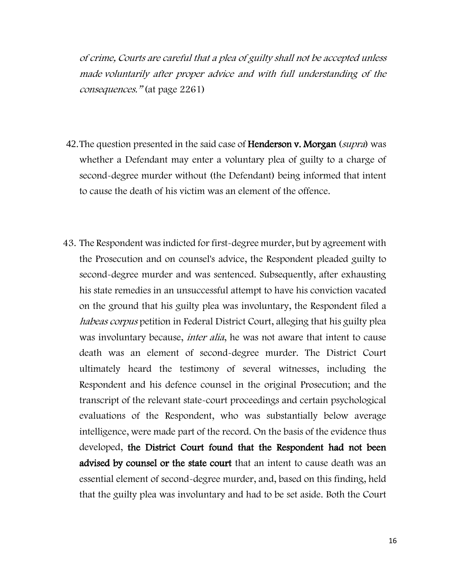of crime, Courts are careful that a plea of guilty shall not be accepted unless made voluntarily after proper advice and with full understanding of the consequences." (at page 2261)

- 42. The question presented in the said case of **Henderson v. Morgan** (*supra*) was whether a Defendant may enter a voluntary plea of guilty to a charge of second-degree murder without (the Defendant) being informed that intent to cause the death of his victim was an element of the offence.
- 43. The Respondent was indicted for first-degree murder, but by agreement with the Prosecution and on counsel's advice, the Respondent pleaded guilty to second-degree murder and was sentenced. Subsequently, after exhausting his state remedies in an unsuccessful attempt to have his conviction vacated on the ground that his guilty plea was involuntary, the Respondent filed a habeas corpus petition in Federal District Court, alleging that his guilty plea was involuntary because, *inter alia*, he was not aware that intent to cause death was an element of second-degree murder. The District Court ultimately heard the testimony of several witnesses, including the Respondent and his defence counsel in the original Prosecution; and the transcript of the relevant state-court proceedings and certain psychological evaluations of the Respondent, who was substantially below average intelligence, were made part of the record. On the basis of the evidence thus developed, the District Court found that the Respondent had not been advised by counsel or the state court that an intent to cause death was an essential element of second-degree murder, and, based on this finding, held that the guilty plea was involuntary and had to be set aside. Both the Court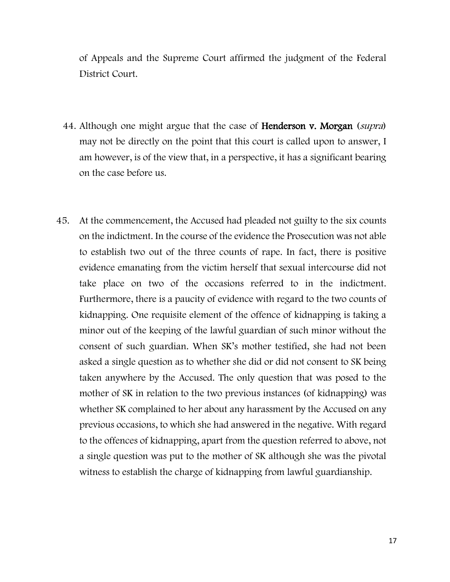of Appeals and the Supreme Court affirmed the judgment of the Federal District Court.

- 44. Although one might argue that the case of **Henderson v. Morgan** (supra) may not be directly on the point that this court is called upon to answer, I am however, is of the view that, in a perspective, it has a significant bearing on the case before us.
- 45. At the commencement, the Accused had pleaded not guilty to the six counts on the indictment. In the course of the evidence the Prosecution was not able to establish two out of the three counts of rape. In fact, there is positive evidence emanating from the victim herself that sexual intercourse did not take place on two of the occasions referred to in the indictment. Furthermore, there is a paucity of evidence with regard to the two counts of kidnapping. One requisite element of the offence of kidnapping is taking a minor out of the keeping of the lawful guardian of such minor without the consent of such guardian. When SK's mother testified, she had not been asked a single question as to whether she did or did not consent to SK being taken anywhere by the Accused. The only question that was posed to the mother of SK in relation to the two previous instances (of kidnapping) was whether SK complained to her about any harassment by the Accused on any previous occasions, to which she had answered in the negative. With regard to the offences of kidnapping, apart from the question referred to above, not a single question was put to the mother of SK although she was the pivotal witness to establish the charge of kidnapping from lawful guardianship.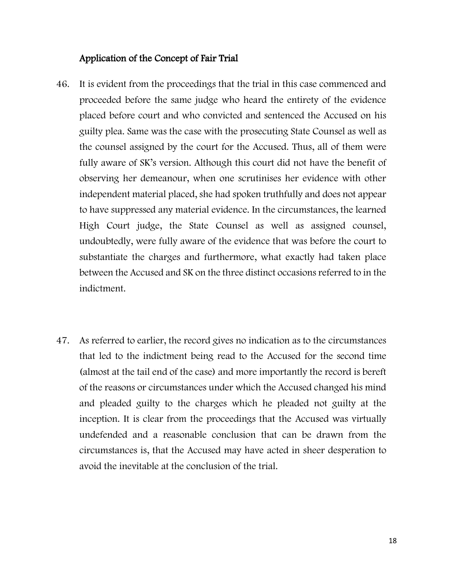#### Application of the Concept of Fair Trial

- 46. It is evident from the proceedings that the trial in this case commenced and proceeded before the same judge who heard the entirety of the evidence placed before court and who convicted and sentenced the Accused on his guilty plea. Same was the case with the prosecuting State Counsel as well as the counsel assigned by the court for the Accused. Thus, all of them were fully aware of SK's version. Although this court did not have the benefit of observing her demeanour, when one scrutinises her evidence with other independent material placed, she had spoken truthfully and does not appear to have suppressed any material evidence. In the circumstances, the learned High Court judge, the State Counsel as well as assigned counsel, undoubtedly, were fully aware of the evidence that was before the court to substantiate the charges and furthermore, what exactly had taken place between the Accused and SK on the three distinct occasions referred to in the indictment.
- 47. As referred to earlier, the record gives no indication as to the circumstances that led to the indictment being read to the Accused for the second time (almost at the tail end of the case) and more importantly the record is bereft of the reasons or circumstances under which the Accused changed his mind and pleaded guilty to the charges which he pleaded not guilty at the inception. It is clear from the proceedings that the Accused was virtually undefended and a reasonable conclusion that can be drawn from the circumstances is, that the Accused may have acted in sheer desperation to avoid the inevitable at the conclusion of the trial.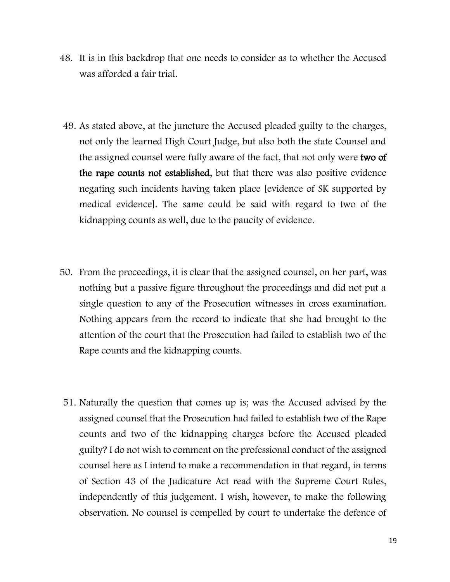- 48. It is in this backdrop that one needs to consider as to whether the Accused was afforded a fair trial.
- 49. As stated above, at the juncture the Accused pleaded guilty to the charges, not only the learned High Court Judge, but also both the state Counsel and the assigned counsel were fully aware of the fact, that not only were two of the rape counts not established, but that there was also positive evidence negating such incidents having taken place [evidence of SK supported by medical evidence]. The same could be said with regard to two of the kidnapping counts as well, due to the paucity of evidence.
- 50. From the proceedings, it is clear that the assigned counsel, on her part, was nothing but a passive figure throughout the proceedings and did not put a single question to any of the Prosecution witnesses in cross examination. Nothing appears from the record to indicate that she had brought to the attention of the court that the Prosecution had failed to establish two of the Rape counts and the kidnapping counts.
- 51. Naturally the question that comes up is; was the Accused advised by the assigned counsel that the Prosecution had failed to establish two of the Rape counts and two of the kidnapping charges before the Accused pleaded guilty? I do not wish to comment on the professional conduct of the assigned counsel here as I intend to make a recommendation in that regard, in terms of Section 43 of the Judicature Act read with the Supreme Court Rules, independently of this judgement. I wish, however, to make the following observation. No counsel is compelled by court to undertake the defence of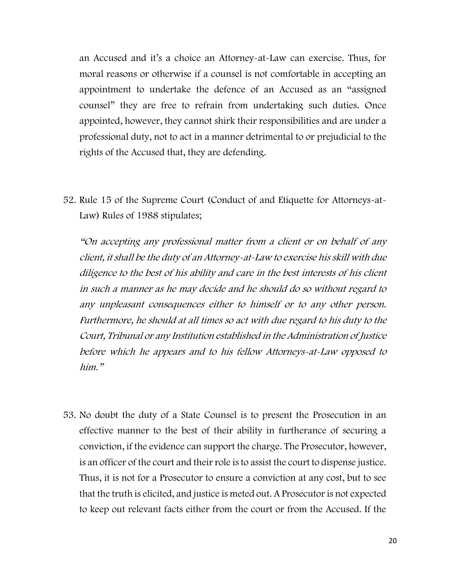an Accused and it's a choice an Attorney-at-Law can exercise. Thus, for moral reasons or otherwise if a counsel is not comfortable in accepting an appointment to undertake the defence of an Accused as an "assigned counsel" they are free to refrain from undertaking such duties. Once appointed, however, they cannot shirk their responsibilities and are under a professional duty, not to act in a manner detrimental to or prejudicial to the rights of the Accused that, they are defending.

52. Rule 15 of the Supreme Court (Conduct of and Etiquette for Attorneys-at-Law) Rules of 1988 stipulates;

"On accepting any professional matter from a client or on behalf of any client, it shall be the duty of an Attorney-at-Law to exercise his skill with due diligence to the best of his ability and care in the best interests of his client in such a manner as he may decide and he should do so without regard to any unpleasant consequences either to himself or to any other person. Furthermore, he should at all times so act with due regard to his duty to the Court, Tribunal or any Institution established in the Administration of Justice before which he appears and to his fellow Attorneys-at-Law opposed to him"

53. No doubt the duty of a State Counsel is to present the Prosecution in an effective manner to the best of their ability in furtherance of securing a conviction, if the evidence can support the charge. The Prosecutor, however, is an officer of the court and their role is to assist the court to dispense justice. Thus, it is not for a Prosecutor to ensure a conviction at any cost, but to see that the truth is elicited, and justice is meted out. A Prosecutor is not expected to keep out relevant facts either from the court or from the Accused. If the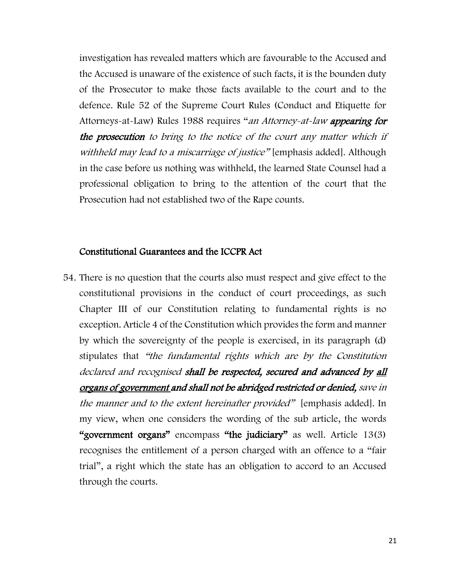investigation has revealed matters which are favourable to the Accused and the Accused is unaware of the existence of such facts, it is the bounden duty of the Prosecutor to make those facts available to the court and to the defence. Rule 52 of the Supreme Court Rules (Conduct and Etiquette for Attorneys-at-Law) Rules 1988 requires "an Attorney-at-law appearing for the prosecution to bring to the notice of the court any matter which if withheld may lead to a miscarriage of justice" [emphasis added]. Although in the case before us nothing was withheld, the learned State Counsel had a professional obligation to bring to the attention of the court that the Prosecution had not established two of the Rape counts.

#### Constitutional Guarantees and the ICCPR Act

54. There is no question that the courts also must respect and give effect to the constitutional provisions in the conduct of court proceedings, as such Chapter III of our Constitution relating to fundamental rights is no exception. Article 4 of the Constitution which provides the form and manner by which the sovereignty of the people is exercised, in its paragraph (d) stipulates that "the fundamental rights which are by the Constitution declared and recognised shall be respected, secured and advanced by all organs of government and shall not be abridged restricted or denied, save in the manner and to the extent hereinafter provided" [emphasis added]. In my view, when one considers the wording of the sub article, the words "government organs" encompass "the judiciary" as well. Article 13(3) recognises the entitlement of a person charged with an offence to a "fair trial", a right which the state has an obligation to accord to an Accused through the courts.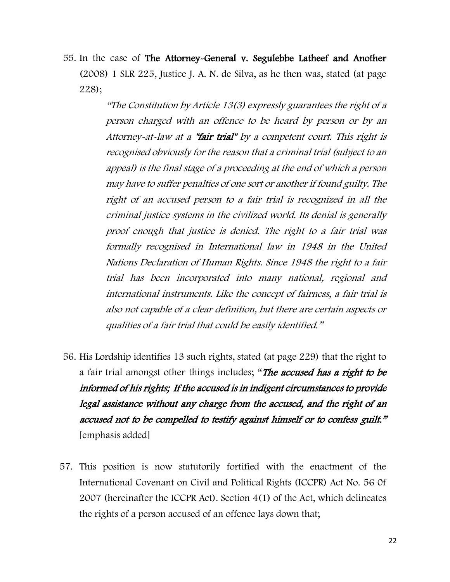55. In the case of The Attorney-General v. Segulebbe Latheef and Another (2008) 1 SLR 225, Justice J. A. N. de Silva, as he then was, stated (at page 228);

> "The Constitution by Article 13(3) expressly guarantees the right of a person charged with an offence to be heard by person or by an Attorney-at-law at a "**fair trial**" by a competent court. This right is recognised obviously for the reason that a criminal trial (subject to an appeal) is the final stage of a proceeding at the end of which a person may have to suffer penalties of one sort or another if found guilty. The right of an accused person to a fair trial is recognized in all the criminal justice systems in the civilized world. Its denial is generally proof enough that justice is denied. The right to a fair trial was formally recognised in International law in 1948 in the United Nations Declaration of Human Rights. Since 1948 the right to a fair trial has been incorporated into many national, regional and international instruments. Like the concept of fairness, a fair trial is also not capable of a clear definition, but there are certain aspects or qualities of a fair trial that could be easily identified."

- 56. His Lordship identifies 13 such rights, stated (at page 229) that the right to a fair trial amongst other things includes; "The accused has a right to be informed of his rights; If the accused is in indigent circumstances to provide legal assistance without any charge from the accused, and the right of an accused not to be compelled to testify against himself or to confess guilt." [emphasis added]
- 57. This position is now statutorily fortified with the enactment of the International Covenant on Civil and Political Rights (ICCPR) Act No. 56 0f 2007 (hereinafter the ICCPR Act). Section 4(1) of the Act, which delineates the rights of a person accused of an offence lays down that;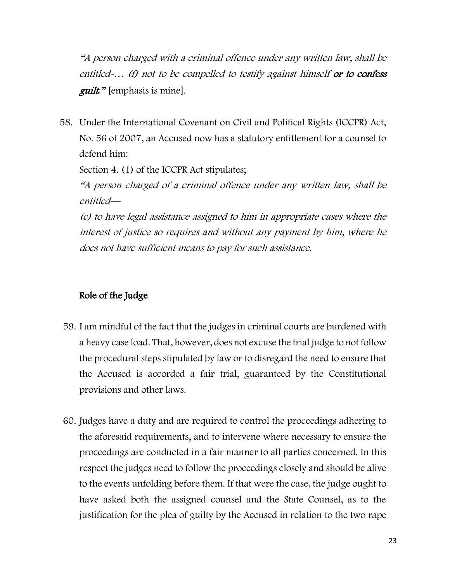"A person charged with a criminal offence under any written law, shall be entitled-... (f) not to be compelled to testify against himself or to confess guilt*."* [emphasis is mine].

58. Under the International Covenant on Civil and Political Rights (ICCPR) Act, No. 56 of 2007, an Accused now has a statutory entitlement for a counsel to defend him:

Section 4. (1) of the ICCPR Act stipulates;

"A person charged of a criminal offence under any written law, shall be entitled—

(c) to have legal assistance assigned to him in appropriate cases where the interest of justice so requires and without any payment by him, where he does not have sufficient means to pay for such assistance.

## Role of the Judge

- 59. I am mindful of the fact that the judges in criminal courts are burdened with a heavy case load. That, however, does not excuse the trial judge to not follow the procedural steps stipulated by law or to disregard the need to ensure that the Accused is accorded a fair trial, guaranteed by the Constitutional provisions and other laws.
- 60. Judges have a duty and are required to control the proceedings adhering to the aforesaid requirements, and to intervene where necessary to ensure the proceedings are conducted in a fair manner to all parties concerned. In this respect the judges need to follow the proceedings closely and should be alive to the events unfolding before them. If that were the case, the judge ought to have asked both the assigned counsel and the State Counsel, as to the justification for the plea of guilty by the Accused in relation to the two rape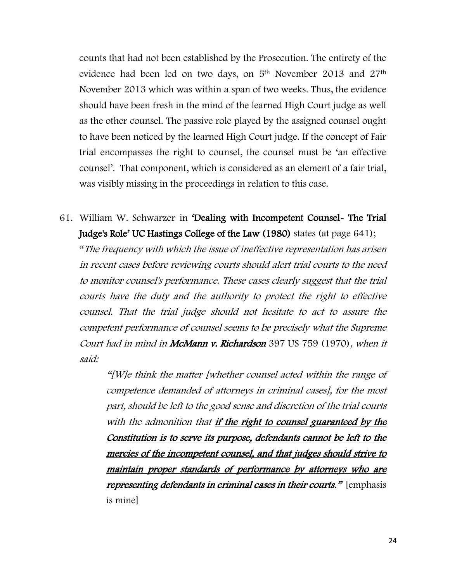counts that had not been established by the Prosecution. The entirety of the evidence had been led on two days, on 5<sup>th</sup> November 2013 and 27<sup>th</sup> November 2013 which was within a span of two weeks. Thus, the evidence should have been fresh in the mind of the learned High Court judge as well as the other counsel. The passive role played by the assigned counsel ought to have been noticed by the learned High Court judge. If the concept of Fair trial encompasses the right to counsel, the counsel must be 'an effective counsel'. That component, which is considered as an element of a fair trial, was visibly missing in the proceedings in relation to this case.

61. William W. Schwarzer in 'Dealing with Incompetent Counsel- The Trial Judge's Role' UC Hastings College of the Law (1980) states (at page 641); "The frequency with which the issue of ineffective representation has arisen in recent cases before reviewing courts should alert trial courts to the need to monitor counsel's performance. These cases clearly suggest that the trial courts have the duty and the authority to protect the right to effective counsel. That the trial judge should not hesitate to act to assure the competent performance of counsel seems to be precisely what the Supreme Court had in mind in McMann v. Richardson 397 US 759 (1970), when it said:

> "[W]e think the matter [whether counsel acted within the range of competence demanded of attorneys in criminal cases], for the most part, should be left to the good sense and discretion of the trial courts with the admonition that if the right to counsel guaranteed by the Constitution is to serve its purpose, defendants cannot be left to the mercies of the incompetent counsel, and that judges should strive to maintain proper standards of performance by attorneys who are representing defendants in criminal cases in their courts." [emphasis is mine]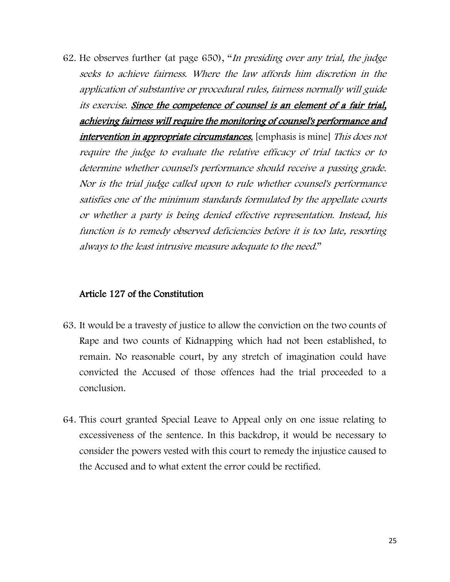62. He observes further (at page 650), "In presiding over any trial, the judge seeks to achieve fairness. Where the law affords him discretion in the application of substantive or procedural rules, fairness normally will guide its exercise. Since the competence of counsel is an element of a fair trial, achieving fairness will require the monitoring of counsel's performance and intervention in appropriate circumstances. [emphasis is mine] This does not require the judge to evaluate the relative efficacy of trial tactics or to determine whether counsel's performance should receive a passing grade. Nor is the trial judge called upon to rule whether counsel's performance satisfies one of the minimum standards formulated by the appellate courts or whether a party is being denied effective representation. Instead, his function is to remedy observed deficiencies before it is too late, resorting always to the least intrusive measure adequate to the need."

#### Article 127 of the Constitution

- 63. It would be a travesty of justice to allow the conviction on the two counts of Rape and two counts of Kidnapping which had not been established, to remain. No reasonable court, by any stretch of imagination could have convicted the Accused of those offences had the trial proceeded to a conclusion.
- 64. This court granted Special Leave to Appeal only on one issue relating to excessiveness of the sentence. In this backdrop, it would be necessary to consider the powers vested with this court to remedy the injustice caused to the Accused and to what extent the error could be rectified.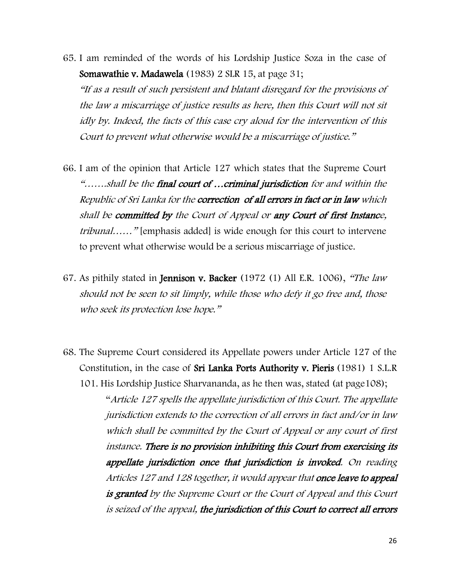65. I am reminded of the words of his Lordship Justice Soza in the case of Somawathie v. Madawela (1983) 2 SLR 15, at page 31;

"If as a result of such persistent and blatant disregard for the provisions of the law a miscarriage of justice results as here, then this Court will not sit idly by. Indeed, the facts of this case cry aloud for the intervention of this Court to prevent what otherwise would be a miscarriage of justice."

- 66. I am of the opinion that Article 127 which states that the Supreme Court "…….shall be the final court of …criminal jurisdiction for and within the Republic of Sri Lanka for the correction of all errors in fact or in law which shall be committed by the Court of Appeal or any Court of first Instance, tribunal……" [emphasis added] is wide enough for this court to intervene to prevent what otherwise would be a serious miscarriage of justice.
- 67. As pithily stated in **Jennison v. Backer** (1972 (1) All E.R. 1006), "The law should not be seen to sit limply, while those who defy it go free and, those who seek its protection lose hope."
- 68. The Supreme Court considered its Appellate powers under Article 127 of the Constitution, in the case of Sri Lanka Ports Authority v. Pieris (1981) 1 S.L.R

101. His Lordship Justice Sharvananda, as he then was, stated (at page108); "Article 127 spells the appellate jurisdiction of this Court. The appellate jurisdiction extends to the correction of all errors in fact and/or in law which shall be committed by the Court of Appeal or any court of first instance. There is no provision inhibiting this Court from exercising its appellate jurisdiction once that jurisdiction is invoked. On reading Articles 127 and 128 together, it would appear that once leave to appeal is granted by the Supreme Court or the Court of Appeal and this Court is seized of the appeal, the jurisdiction of this Court to correct all errors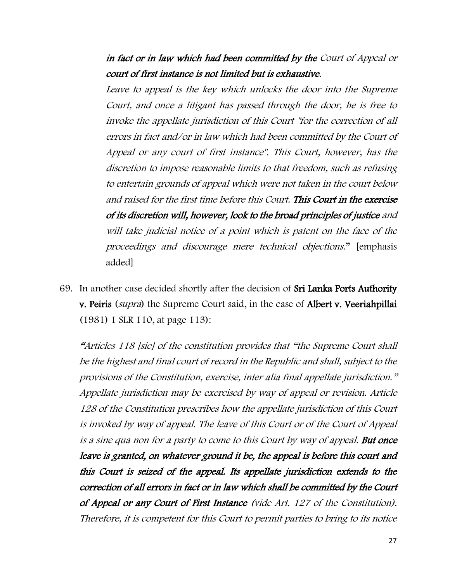in fact or in law which had been committed by the Court of Appeal or court of first instance is not limited but is exhaustive.

Leave to appeal is the key which unlocks the door into the Supreme Court, and once a litigant has passed through the door, he is free to invoke the appellate jurisdiction of this Court "for the correction of all errors in fact and/or in law which had been committed by the Court of Appeal or any court of first instance". This Court, however, has the discretion to impose reasonable limits to that freedom, such as refusing to entertain grounds of appeal which were not taken in the court below and raised for the first time before this Court. This Court in the exercise of its discretion will, however, look to the broad principles of justice and will take judicial notice of a point which is patent on the face of the proceedings and discourage mere technical objections." [emphasis added]

69. In another case decided shortly after the decision of Sri Lanka Ports Authority v. Peiris (supra) the Supreme Court said, in the case of Albert v. Veeriahpillai (1981) 1 SLR 110, at page 113):

"Articles 118 [sic] of the constitution provides that "the Supreme Court shall be the highest and final court of record in the Republic and shall, subject to the provisions of the Constitution, exercise, inter alia final appellate jurisdiction." Appellate jurisdiction may be exercised by way of appeal or revision. Article 128 of the Constitution prescribes how the appellate jurisdiction of this Court is invoked by way of appeal. The leave of this Court or of the Court of Appeal is a sine qua non for a party to come to this Court by way of appeal. But once leave is granted, on whatever ground it be, the appeal is before this court and this Court is seized of the appeal. Its appellate jurisdiction extends to the correction of all errors in fact or in law which shall be committed by the Court of Appeal or any Court of First Instance (vide Art. 127 of the Constitution). Therefore, it is competent for this Court to permit parties to bring to its notice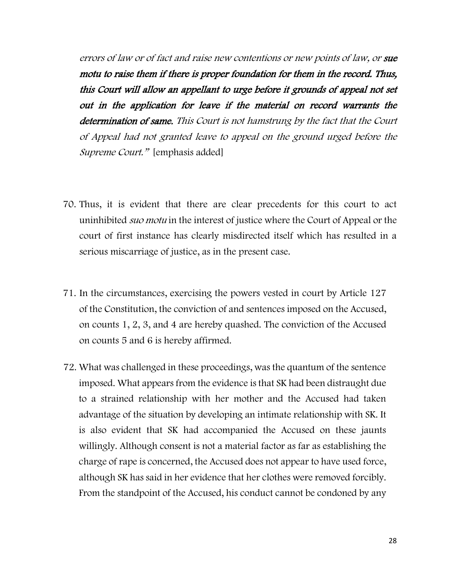errors of law or of fact and raise new contentions or new points of law, or sue motu to raise them if there is proper foundation for them in the record. Thus, this Court will allow an appellant to urge before it grounds of appeal not set out in the application for leave if the material on record warrants the determination of same. This Court is not hamstrung by the fact that the Court of Appeal had not granted leave to appeal on the ground urged before the Supreme Court." [emphasis added]

- 70. Thus, it is evident that there are clear precedents for this court to act uninhibited *suo motu* in the interest of justice where the Court of Appeal or the court of first instance has clearly misdirected itself which has resulted in a serious miscarriage of justice, as in the present case.
- 71. In the circumstances, exercising the powers vested in court by Article 127 of the Constitution, the conviction of and sentences imposed on the Accused, on counts 1, 2, 3, and 4 are hereby quashed. The conviction of the Accused on counts 5 and 6 is hereby affirmed.
- 72. What was challenged in these proceedings, was the quantum of the sentence imposed. What appears from the evidence is that SK had been distraught due to a strained relationship with her mother and the Accused had taken advantage of the situation by developing an intimate relationship with SK. It is also evident that SK had accompanied the Accused on these jaunts willingly. Although consent is not a material factor as far as establishing the charge of rape is concerned, the Accused does not appear to have used force, although SK has said in her evidence that her clothes were removed forcibly. From the standpoint of the Accused, his conduct cannot be condoned by any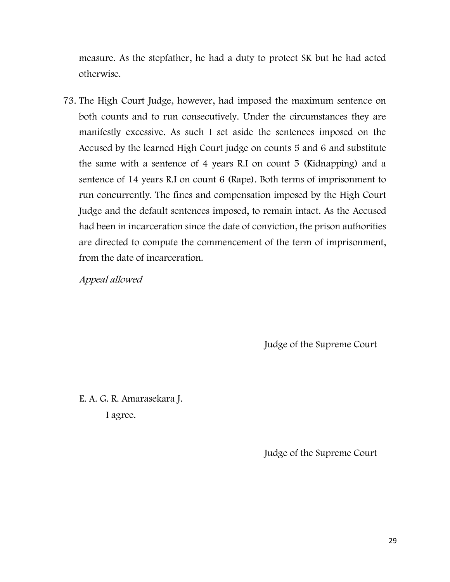measure. As the stepfather, he had a duty to protect SK but he had acted otherwise.

73. The High Court Judge, however, had imposed the maximum sentence on both counts and to run consecutively. Under the circumstances they are manifestly excessive. As such I set aside the sentences imposed on the Accused by the learned High Court judge on counts 5 and 6 and substitute the same with a sentence of 4 years R.I on count 5 (Kidnapping) and a sentence of 14 years R.I on count 6 (Rape). Both terms of imprisonment to run concurrently. The fines and compensation imposed by the High Court Judge and the default sentences imposed, to remain intact. As the Accused had been in incarceration since the date of conviction, the prison authorities are directed to compute the commencement of the term of imprisonment, from the date of incarceration.

Appeal allowed

Judge of the Supreme Court

E. A. G. R. Amarasekara J. I agree.

Judge of the Supreme Court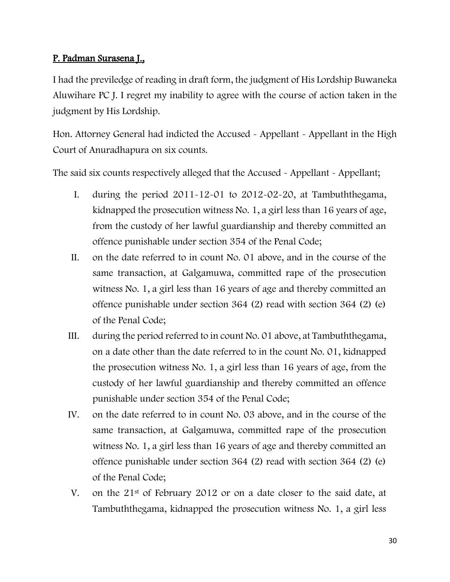## P. Padman Surasena J.,

I had the previledge of reading in draft form, the judgment of His Lordship Buwaneka Aluwihare PC J. I regret my inability to agree with the course of action taken in the judgment by His Lordship.

Hon. Attorney General had indicted the Accused - Appellant - Appellant in the High Court of Anuradhapura on six counts.

The said six counts respectively alleged that the Accused - Appellant - Appellant;

- I. during the period 2011-12-01 to 2012-02-20, at Tambuththegama, kidnapped the prosecution witness No. 1, a girl less than 16 years of age, from the custody of her lawful guardianship and thereby committed an offence punishable under section 354 of the Penal Code;
- II. on the date referred to in count No. 01 above, and in the course of the same transaction, at Galgamuwa, committed rape of the prosecution witness No. 1, a girl less than 16 years of age and thereby committed an offence punishable under section 364 (2) read with section 364 (2) (e) of the Penal Code;
- III. during the period referred to in count No. 01 above, at Tambuththegama, on a date other than the date referred to in the count No. 01, kidnapped the prosecution witness No. 1, a girl less than 16 years of age, from the custody of her lawful guardianship and thereby committed an offence punishable under section 354 of the Penal Code;
- IV. on the date referred to in count No. 03 above, and in the course of the same transaction, at Galgamuwa, committed rape of the prosecution witness No. 1, a girl less than 16 years of age and thereby committed an offence punishable under section 364 (2) read with section 364 (2) (e) of the Penal Code;
- V. on the 21st of February 2012 or on a date closer to the said date, at Tambuththegama, kidnapped the prosecution witness No. 1, a girl less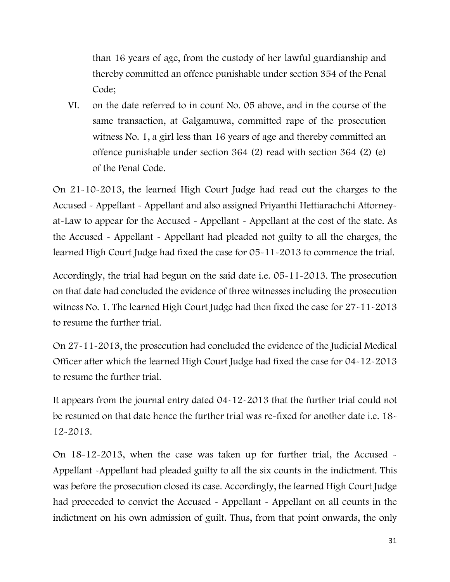than 16 years of age, from the custody of her lawful guardianship and thereby committed an offence punishable under section 354 of the Penal Code;

VI. on the date referred to in count No. 05 above, and in the course of the same transaction, at Galgamuwa, committed rape of the prosecution witness No. 1, a girl less than 16 years of age and thereby committed an offence punishable under section 364 (2) read with section 364 (2) (e) of the Penal Code.

On 21-10-2013, the learned High Court Judge had read out the charges to the Accused - Appellant - Appellant and also assigned Priyanthi Hettiarachchi Attorneyat-Law to appear for the Accused - Appellant - Appellant at the cost of the state. As the Accused - Appellant - Appellant had pleaded not guilty to all the charges, the learned High Court Judge had fixed the case for 05-11-2013 to commence the trial.

Accordingly, the trial had begun on the said date i.e. 05-11-2013. The prosecution on that date had concluded the evidence of three witnesses including the prosecution witness No. 1. The learned High Court Judge had then fixed the case for 27-11-2013 to resume the further trial.

On 27-11-2013, the prosecution had concluded the evidence of the Judicial Medical Officer after which the learned High Court Judge had fixed the case for 04-12-2013 to resume the further trial.

It appears from the journal entry dated 04-12-2013 that the further trial could not be resumed on that date hence the further trial was re-fixed for another date i.e. 18- 12-2013.

On 18-12-2013, when the case was taken up for further trial, the Accused - Appellant -Appellant had pleaded guilty to all the six counts in the indictment. This was before the prosecution closed its case. Accordingly, the learned High Court Judge had proceeded to convict the Accused - Appellant - Appellant on all counts in the indictment on his own admission of guilt. Thus, from that point onwards, the only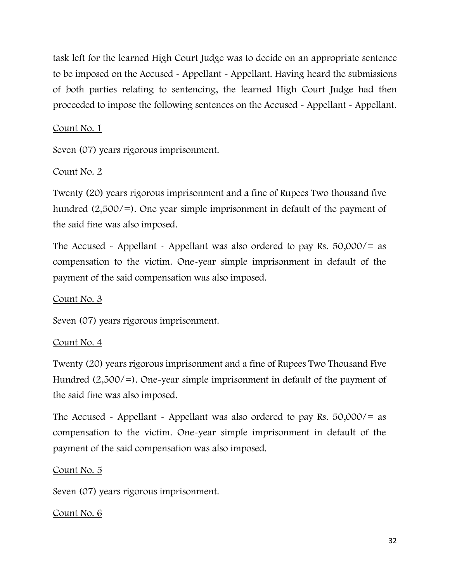task left for the learned High Court Judge was to decide on an appropriate sentence to be imposed on the Accused - Appellant - Appellant. Having heard the submissions of both parties relating to sentencing, the learned High Court Judge had then proceeded to impose the following sentences on the Accused - Appellant - Appellant.

## Count No. 1

Seven (07) years rigorous imprisonment.

## Count No. 2

Twenty (20) years rigorous imprisonment and a fine of Rupees Two thousand five hundred (2,500/=). One year simple imprisonment in default of the payment of the said fine was also imposed.

The Accused - Appellant - Appellant was also ordered to pay Rs.  $50,000/=\text{as}$ compensation to the victim. One-year simple imprisonment in default of the payment of the said compensation was also imposed.

## Count No. 3

Seven (07) years rigorous imprisonment.

## Count No. 4

Twenty (20) years rigorous imprisonment and a fine of Rupees Two Thousand Five Hundred (2,500/=). One-year simple imprisonment in default of the payment of the said fine was also imposed.

The Accused - Appellant - Appellant was also ordered to pay Rs.  $50,000/=\text{as}$ compensation to the victim. One-year simple imprisonment in default of the payment of the said compensation was also imposed.

## Count No. 5

Seven (07) years rigorous imprisonment.

## Count No. 6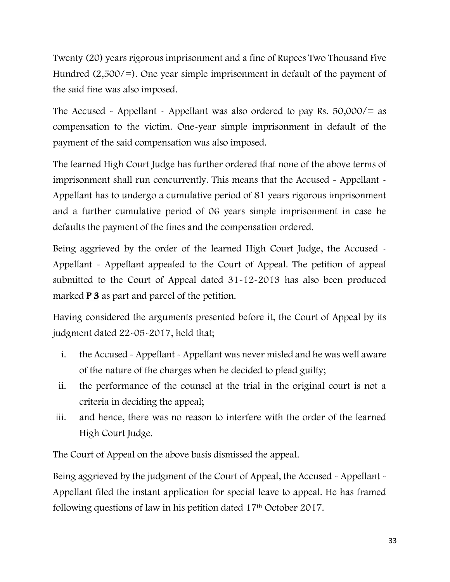Twenty (20) years rigorous imprisonment and a fine of Rupees Two Thousand Five Hundred (2,500/=). One year simple imprisonment in default of the payment of the said fine was also imposed.

The Accused - Appellant - Appellant was also ordered to pay Rs.  $50,000/=\text{as}$ compensation to the victim. One-year simple imprisonment in default of the payment of the said compensation was also imposed.

The learned High Court Judge has further ordered that none of the above terms of imprisonment shall run concurrently. This means that the Accused - Appellant - Appellant has to undergo a cumulative period of 81 years rigorous imprisonment and a further cumulative period of 06 years simple imprisonment in case he defaults the payment of the fines and the compensation ordered.

Being aggrieved by the order of the learned High Court Judge, the Accused -Appellant - Appellant appealed to the Court of Appeal. The petition of appeal submitted to the Court of Appeal dated 31-12-2013 has also been produced marked **P** 3 as part and parcel of the petition.

Having considered the arguments presented before it, the Court of Appeal by its judgment dated 22-05-2017, held that;

- i. the Accused Appellant Appellant was never misled and he was well aware of the nature of the charges when he decided to plead guilty;
- ii. the performance of the counsel at the trial in the original court is not a criteria in deciding the appeal;
- iii. and hence, there was no reason to interfere with the order of the learned High Court Judge.

The Court of Appeal on the above basis dismissed the appeal.

Being aggrieved by the judgment of the Court of Appeal, the Accused - Appellant -Appellant filed the instant application for special leave to appeal. He has framed following questions of law in his petition dated 17<sup>th</sup> October 2017.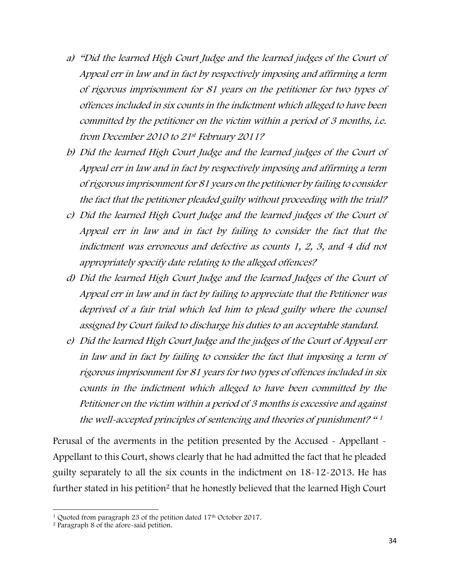- a) "Did the learned High Court Judge and the learned judges of the Court of Appeal err in law and in fact by respectively imposing and affirming a term of rigorous imprisonment for 81 years on the petitioner for two types of offences included in six counts in the indictment which alleged to have been committed by the petitioner on the victim within a period of 3 months, i.e. from December 2010 to 21st February 2011?
- b) Did the learned High Court Judge and the learned judges of the Court of Appeal err in law and in fact by respectively imposing and affirming a term of rigorous imprisonment for 81 years on the petitioner by failing to consider the fact that the petitioner pleaded guilty without proceeding with the trial?
- c) Did the learned High Court Judge and the learned judges of the Court of Appeal err in law and in fact by failing to consider the fact that the indictment was erroneous and defective as counts 1, 2, 3, and 4 did not appropriately specify date relating to the alleged offences?
- d) Did the learned High Court Judge and the learned Judges of the Court of Appeal err in law and in fact by failing to appreciate that the Petitioner was deprived of a fair trial which led him to plead guilty where the counsel assigned by Court failed to discharge his duties to an acceptable standard.
- e) Did the learned High Court Judge and the judges of the Court of Appeal err in law and in fact by failing to consider the fact that imposing a term of rigorous imprisonment for 81 years for two types of offences included in six counts in the indictment which alleged to have been committed by the Petitioner on the victim within a period of 3 months is excessive and against the well-accepted principles of sentencing and theories of punishment? " 1

Perusal of the averments in the petition presented by the Accused - Appellant - Appellant to this Court, shows clearly that he had admitted the fact that he pleaded guilty separately to all the six counts in the indictment on 18-12-2013. He has further stated in his petition<sup>2</sup> that he honestly believed that the learned High Court

<sup>&</sup>lt;sup>1</sup> Quoted from paragraph 23 of the petition dated 17<sup>th</sup> October 2017.

<sup>2</sup> Paragraph 8 of the afore-said petition.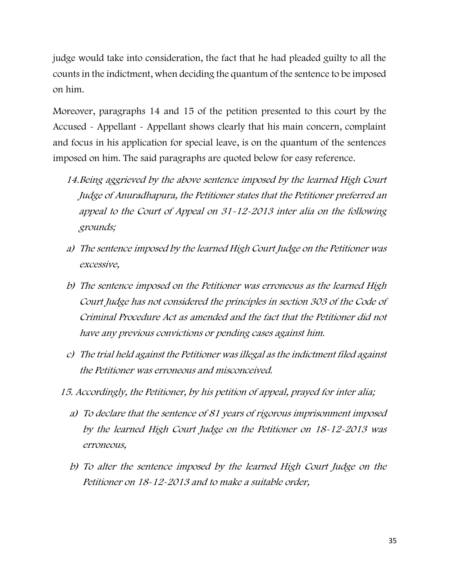judge would take into consideration, the fact that he had pleaded guilty to all the counts in the indictment, when deciding the quantum of the sentence to be imposed on him.

Moreover, paragraphs 14 and 15 of the petition presented to this court by the Accused - Appellant - Appellant shows clearly that his main concern, complaint and focus in his application for special leave, is on the quantum of the sentences imposed on him. The said paragraphs are quoted below for easy reference.

- 14.Being aggrieved by the above sentence imposed by the learned High Court Judge of Anuradhapura, the Petitioner states that the Petitioner preferred an appeal to the Court of Appeal on 31-12-2013 inter alia on the following grounds;
- a) The sentence imposed by the learned High Court Judge on the Petitioner was excessive,
- b) The sentence imposed on the Petitioner was erroneous as the learned High Court Judge has not considered the principles in section 303 of the Code of Criminal Procedure Act as amended and the fact that the Petitioner did not have any previous convictions or pending cases against him.
- c) The trial held against the Petitioner was illegal as the indictment filed against the Petitioner was erroneous and misconceived.
- 15. Accordingly, the Petitioner, by his petition of appeal, prayed for inter alia;
	- a) To declare that the sentence of 81 years of rigorous imprisonment imposed by the learned High Court Judge on the Petitioner on 18-12-2013 was erroneous,
	- b) To alter the sentence imposed by the learned High Court Judge on the Petitioner on 18-12-2013 and to make a suitable order,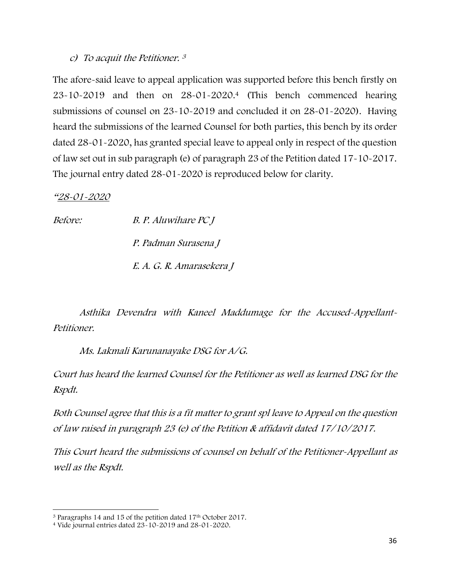#### c) To acquit the Petitioner. 3

The afore-said leave to appeal application was supported before this bench firstly on 23-10-2019 and then on 28-01-2020.<sup>4</sup> (This bench commenced hearing submissions of counsel on 23-10-2019 and concluded it on 28-01-2020). Having heard the submissions of the learned Counsel for both parties, this bench by its order dated 28-01-2020, has granted special leave to appeal only in respect of the question of law set out in sub paragraph (e) of paragraph 23 of the Petition dated 17-10-2017. The journal entry dated 28-01-2020 is reproduced below for clarity.

"28-01-2020

Before: B. P. Aluwihare PC J P. Padman Surasena J E. A. G. R. Amarasekera J

Asthika Devendra with Kaneel Maddumage for the Accused-Appellant-Petitioner.

Ms. Lakmali Karunanayake DSG for A/G.

Court has heard the learned Counsel for the Petitioner as well as learned DSG for the Rspdt.

Both Counsel agree that this is <sup>a</sup> fit matter to grant spl leave to Appeal on the question of law raised in paragraph 23 (e) of the Petition & affidavit dated 17/10/2017.

This Court heard the submissions of counsel on behalf of the Petitioner-Appellant as well as the Rspdt.

<sup>&</sup>lt;sup>3</sup> Paragraphs 14 and 15 of the petition dated 17<sup>th</sup> October 2017.

<sup>4</sup> Vide journal entries dated 23-10-2019 and 28-01-2020.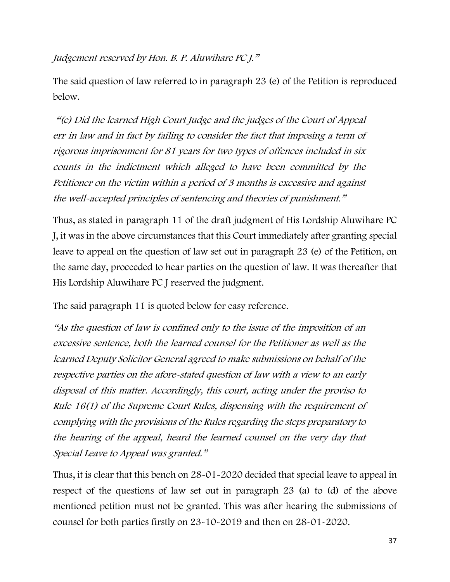Judgement reserved by Hon. B. P. Aluwihare PC J."

The said question of law referred to in paragraph 23 (e) of the Petition is reproduced below.

"(e) Did the learned High Court Judge and the judges of the Court of Appeal err in law and in fact by failing to consider the fact that imposing a term of rigorous imprisonment for 81 years for two types of offences included in six counts in the indictment which alleged to have been committed by the Petitioner on the victim within a period of 3 months is excessive and against the well-accepted principles of sentencing and theories of punishment."

Thus, as stated in paragraph 11 of the draft judgment of His Lordship Aluwihare PC J, it was in the above circumstances that this Court immediately after granting special leave to appeal on the question of law set out in paragraph 23 (e) of the Petition, on the same day, proceeded to hear parties on the question of law. It was thereafter that His Lordship Aluwihare PC J reserved the judgment.

The said paragraph 11 is quoted below for easy reference.

"As the question of law is confined only to the issue of the imposition of an excessive sentence, both the learned counsel for the Petitioner as well as the learned Deputy Solicitor General agreed to make submissions on behalf of the respective parties on the afore-stated question of law with a view to an early disposal of this matter. Accordingly, this court, acting under the proviso to Rule 16(1) of the Supreme Court Rules, dispensing with the requirement of complying with the provisions of the Rules regarding the steps preparatory to the hearing of the appeal, heard the learned counsel on the very day that Special Leave to Appeal was granted."

Thus, it is clear that this bench on 28-01-2020 decided that special leave to appeal in respect of the questions of law set out in paragraph 23 (a) to (d) of the above mentioned petition must not be granted. This was after hearing the submissions of counsel for both parties firstly on 23-10-2019 and then on 28-01-2020.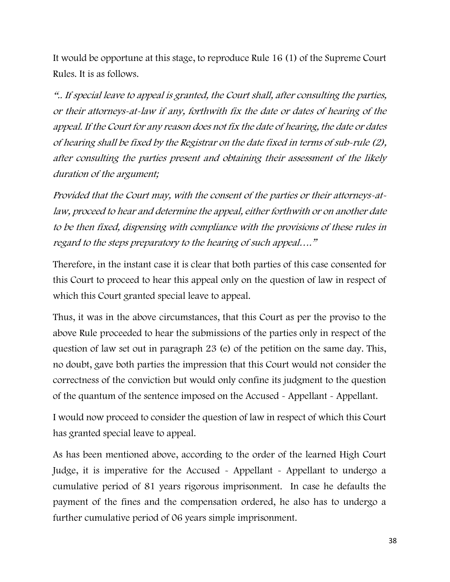It would be opportune at this stage, to reproduce Rule 16 (1) of the Supreme Court Rules. It is as follows.

".. If special leave to appeal is granted, the Court shall, after consulting the parties, or their attorneys-at-law if any, forthwith fix the date or dates of hearing of the appeal. If the Court for any reason does not fix the date of hearing, the date or dates of hearing shall be fixed by the Registrar on the date fixed in terms of sub-rule (2), after consulting the parties present and obtaining their assessment of the likely duration of the argument;

Provided that the Court may, with the consent of the parties or their attorneys-atlaw, proceed to hear and determine the appeal, either forthwith or on another date to be then fixed, dispensing with compliance with the provisions of these rules in regard to the steps preparatory to the hearing of such appeal…."

Therefore, in the instant case it is clear that both parties of this case consented for this Court to proceed to hear this appeal only on the question of law in respect of which this Court granted special leave to appeal.

Thus, it was in the above circumstances, that this Court as per the proviso to the above Rule proceeded to hear the submissions of the parties only in respect of the question of law set out in paragraph 23 (e) of the petition on the same day. This, no doubt, gave both parties the impression that this Court would not consider the correctness of the conviction but would only confine its judgment to the question of the quantum of the sentence imposed on the Accused - Appellant - Appellant.

I would now proceed to consider the question of law in respect of which this Court has granted special leave to appeal.

As has been mentioned above, according to the order of the learned High Court Judge, it is imperative for the Accused - Appellant - Appellant to undergo a cumulative period of 81 years rigorous imprisonment. In case he defaults the payment of the fines and the compensation ordered, he also has to undergo a further cumulative period of 06 years simple imprisonment.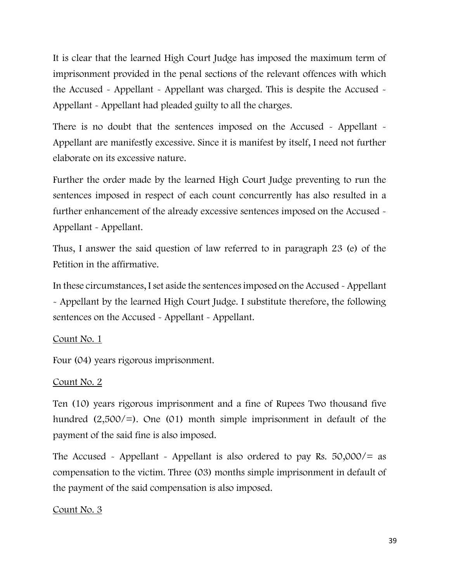It is clear that the learned High Court Judge has imposed the maximum term of imprisonment provided in the penal sections of the relevant offences with which the Accused - Appellant - Appellant was charged. This is despite the Accused -Appellant - Appellant had pleaded guilty to all the charges.

There is no doubt that the sentences imposed on the Accused - Appellant -Appellant are manifestly excessive. Since it is manifest by itself, I need not further elaborate on its excessive nature.

Further the order made by the learned High Court Judge preventing to run the sentences imposed in respect of each count concurrently has also resulted in a further enhancement of the already excessive sentences imposed on the Accused - Appellant - Appellant.

Thus, I answer the said question of law referred to in paragraph 23 (e) of the Petition in the affirmative.

In these circumstances, I set aside the sentences imposed on the Accused - Appellant - Appellant by the learned High Court Judge. I substitute therefore, the following sentences on the Accused - Appellant - Appellant.

## Count No. 1

Four (04) years rigorous imprisonment.

## Count No. 2

Ten (10) years rigorous imprisonment and a fine of Rupees Two thousand five hundred  $(2,500/)=$ . One (01) month simple imprisonment in default of the payment of the said fine is also imposed.

The Accused - Appellant - Appellant is also ordered to pay Rs.  $50,000/=\text{as}$ compensation to the victim. Three (03) months simple imprisonment in default of the payment of the said compensation is also imposed.

## Count No. 3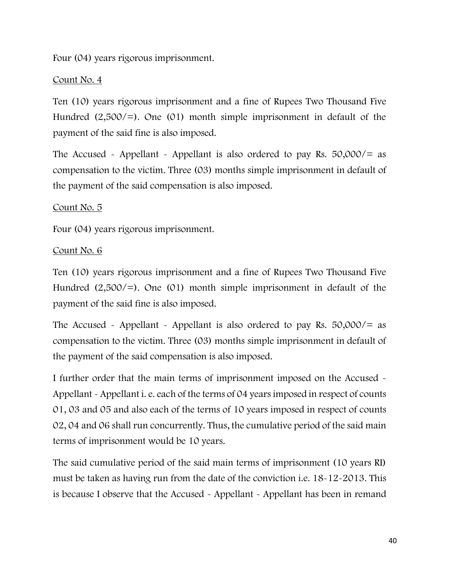Four (04) years rigorous imprisonment.

## Count No. 4

Ten (10) years rigorous imprisonment and a fine of Rupees Two Thousand Five Hundred  $(2,500/)=$ . One  $(01)$  month simple imprisonment in default of the payment of the said fine is also imposed.

The Accused - Appellant - Appellant is also ordered to pay Rs.  $50,000/=$  as compensation to the victim. Three (03) months simple imprisonment in default of the payment of the said compensation is also imposed.

## Count No. 5

Four (04) years rigorous imprisonment.

### Count No. 6

Ten (10) years rigorous imprisonment and a fine of Rupees Two Thousand Five Hundred  $(2,500/)=$ . One  $(01)$  month simple imprisonment in default of the payment of the said fine is also imposed.

The Accused - Appellant - Appellant is also ordered to pay Rs.  $50,000/=$  as compensation to the victim. Three (03) months simple imprisonment in default of the payment of the said compensation is also imposed.

I further order that the main terms of imprisonment imposed on the Accused - Appellant - Appellant i. e. each of the terms of 04 years imposed in respect of counts 01, 03 and 05 and also each of the terms of 10 years imposed in respect of counts 02, 04 and 06 shall run concurrently. Thus, the cumulative period of the said main terms of imprisonment would be 10 years.

The said cumulative period of the said main terms of imprisonment (10 years RI) must be taken as having run from the date of the conviction i.e. 18-12-2013. This is because I observe that the Accused - Appellant - Appellant has been in remand